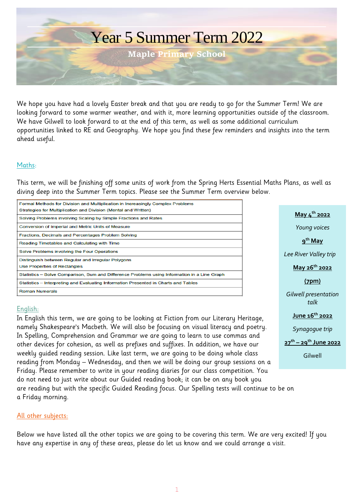

We hope you have had a lovely Easter break and that you are ready to go for the Summer Term! We are looking forward to some warmer weather, and with it, more learning opportunities outside of the classroom. We have Gilwell to look forward to at the end of this term, as well as some additional curriculum opportunities linked to RE and Geography. We hope you find these few reminders and insights into the term ahead useful.

#### Maths:

This term, we will be finishing off some units of work from the Spring Herts Essential Maths Plans, as well as diving deep into the Summer Term topics. Please see the Summer Term overview below.

| Formal Methods for Division and Multiplication in Increasingly Complex Problems<br>Strategies for Multiplication and Division (Mental and Written) |
|----------------------------------------------------------------------------------------------------------------------------------------------------|
| Solving Problems involving Scaling by Simple Fractions and Rates                                                                                   |
| Conversion of Imperial and Metric Units of Measure                                                                                                 |
| Fractions, Decimals and Percentages Problem Solving                                                                                                |
| Reading Timetables and Calculating with Time                                                                                                       |
| Solve Problems involving the Four Operations                                                                                                       |
| Distinguish between Regular and Irregular Polygons                                                                                                 |
| <b>Use Properties of Rectangles</b>                                                                                                                |
| Statistics – Solve Comparison, Sum and Difference Problems using Information in a Line Graph                                                       |
| Statistics – Interpreting and Evaluating Information Presented in Charts and Tables                                                                |
| <b>Roman Numerals</b>                                                                                                                              |
|                                                                                                                                                    |

# **May 4 th 2022** *Young voices* **9 th May** *Lee River Valley trip* **May 26th 2022 (7pm)** *Gilwell presentation talk* **June 16th 2022** *Synagogue trip* **27th – 29th June 2022** Gilwell

#### English:

In English this term, we are going to be looking at Fiction from our Literary Heritage, namely Shakespeare's Macbeth. We will also be focusing on visual literacy and poetry. In Spelling, Comprehension and Grammar we are going to learn to use commas and other devices for cohesion, as well as prefixes and suffixes. In addition, we have our weekly guided reading session. Like last term, we are going to be doing whole class reading from Monday – Wednesday, and then we will be doing our group sessions on a Friday. Please remember to write in your reading diaries for our class competition. You do not need to just write about our Guided reading book; it can be on any book you are reading but with the specific Guided Reading focus. Our Spelling tests will continue to be on a Friday morning.

#### All other subjects:

Below we have listed all the other topics we are going to be covering this term. We are very excited! If you have any expertise in any of these areas, please do let us know and we could arrange a visit.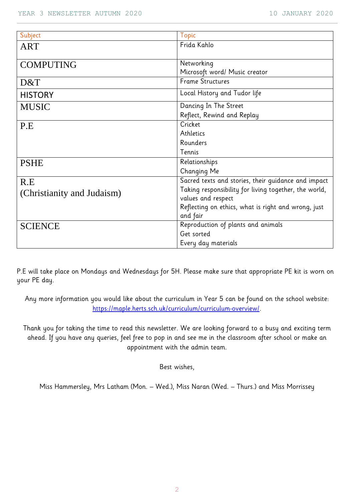| Subject                    | <b>Topic</b>                                          |
|----------------------------|-------------------------------------------------------|
| ART                        | Frida Kahlo                                           |
|                            |                                                       |
| <b>COMPUTING</b>           | Networking                                            |
|                            | Microsoft word/ Music creator                         |
| D&T                        | <b>Frame Structures</b>                               |
| <b>HISTORY</b>             | Local History and Tudor life                          |
| <b>MUSIC</b>               | Dancing In The Street                                 |
|                            | Reflect, Rewind and Replay                            |
| P.E                        | Cricket                                               |
|                            | Athletics                                             |
|                            | Rounders                                              |
|                            | Tennis                                                |
| <b>PSHE</b>                | Relationships                                         |
|                            | Changing Me                                           |
| R.E                        | Sacred texts and stories, their guidance and impact   |
| (Christianity and Judaism) | Taking responsibility for living together, the world, |
|                            | values and respect                                    |
|                            | Reflecting on ethics, what is right and wrong, just   |
|                            | and fair                                              |
| <b>SCIENCE</b>             | Reproduction of plants and animals                    |
|                            | Get sorted                                            |
|                            | Every day materials                                   |

P.E will take place on Mondays and Wednesdays for 5H. Please make sure that appropriate PE kit is worn on your PE day.

Any more information you would like about the curriculum in Year 5 can be found on the school website: [https://maple.herts.sch.uk/curriculum/curriculum-overview/.](https://maple.herts.sch.uk/curriculum/curriculum-overview/)

Thank you for taking the time to read this newsletter. We are looking forward to a busy and exciting term ahead. If you have any queries, feel free to pop in and see me in the classroom after school or make an appointment with the admin team.

Best wishes,

Miss Hammersley, Mrs Latham (Mon. – Wed.), Miss Naran (Wed. – Thurs.) and Miss Morrissey